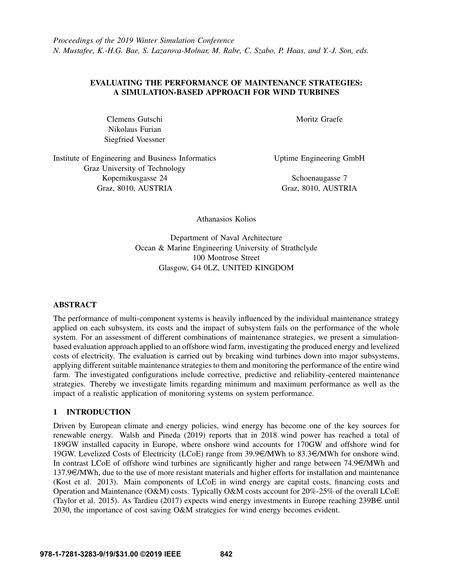## EVALUATING THE PERFORMANCE OF MAINTENANCE STRATEGIES: A SIMULATION-BASED APPROACH FOR WIND TURBINES

Clemens Gutschi Nikolaus Furian Siegfried Voessner Moritz Graefe

Institute of Engineering and Business Informatics Graz University of Technology Kopernikusgasse 24 Graz, 8010, AUSTRIA

Uptime Engineering GmbH

Schoenaugasse 7 Graz, 8010, AUSTRIA

Athanasios Kolios

Department of Naval Architecture Ocean & Marine Engineering University of Strathclyde 100 Montrose Street Glasgow, G4 0LZ, UNITED KINGDOM

# ABSTRACT

The performance of multi-component systems is heavily influenced by the individual maintenance strategy applied on each subsystem, its costs and the impact of subsystem fails on the performance of the whole system. For an assessment of different combinations of maintenance strategies, we present a simulationbased evaluation approach applied to an offshore wind farm, investigating the produced energy and levelized costs of electricity. The evaluation is carried out by breaking wind turbines down into major subsystems, applying different suitable maintenance strategies to them and monitoring the performance of the entire wind farm. The investigated configurations include corrective, predictive and reliability-centered maintenance strategies. Thereby we investigate limits regarding minimum and maximum performance as well as the impact of a realistic application of monitoring systems on system performance.

# 1 INTRODUCTION

Driven by European climate and energy policies, wind energy has become one of the key sources for renewable energy. [Walsh and Pineda \(2019\)](#page-11-0) reports that in 2018 wind power has reached a total of 189GW installed capacity in Europe, where onshore wind accounts for 170GW and offshore wind for 19GW. Levelized Costs of Electricity (LCoE) range from  $39.9\text{C/MWh}$  to  $83.3\text{C/MWh}$  for onshore wind. In contrast LCoE of offshore wind turbines are significantly higher and range between  $74.9 \in \text{MWh}$  and  $137.9\epsilon/MWh$ , due to the use of more resistant materials and higher efforts for installation and maintenance [\(Kost et al. 2013\)](#page-11-1). Main components of LCoE in wind energy are capital costs, financing costs and Operation and Maintenance (O&M) costs. Typically O&M costs account for 20%-25% of the overall LCoE [\(Taylor et al. 2015\)](#page-11-2). As [Tardieu \(2017\)](#page-11-3) expects wind energy investments in Europe reaching 239B $\in$  until 2030, the importance of cost saving O&M strategies for wind energy becomes evident.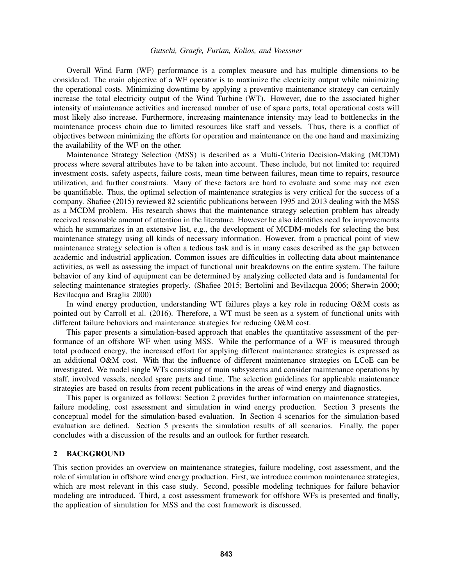Overall Wind Farm (WF) performance is a complex measure and has multiple dimensions to be considered. The main objective of a WF operator is to maximize the electricity output while minimizing the operational costs. Minimizing downtime by applying a preventive maintenance strategy can certainly increase the total electricity output of the Wind Turbine (WT). However, due to the associated higher intensity of maintenance activities and increased number of use of spare parts, total operational costs will most likely also increase. Furthermore, increasing maintenance intensity may lead to bottlenecks in the maintenance process chain due to limited resources like staff and vessels. Thus, there is a conflict of objectives between minimizing the efforts for operation and maintenance on the one hand and maximizing the availability of the WF on the other.

Maintenance Strategy Selection (MSS) is described as a Multi-Criteria Decision-Making (MCDM) process where several attributes have to be taken into account. These include, but not limited to: required investment costs, safety aspects, failure costs, mean time between failures, mean time to repairs, resource utilization, and further constraints. Many of these factors are hard to evaluate and some may not even be quantifiable. Thus, the optimal selection of maintenance strategies is very critical for the success of a company. [Shafiee \(2015\)](#page-11-4) reviewed 82 scientific publications between 1995 and 2013 dealing with the MSS as a MCDM problem. His research shows that the maintenance strategy selection problem has already received reasonable amount of attention in the literature. However he also identifies need for improvements which he summarizes in an extensive list, e.g., the development of MCDM-models for selecting the best maintenance strategy using all kinds of necessary information. However, from a practical point of view maintenance strategy selection is often a tedious task and is in many cases described as the gap between academic and industrial application. Common issues are difficulties in collecting data about maintenance activities, as well as assessing the impact of functional unit breakdowns on the entire system. The failure behavior of any kind of equipment can be determined by analyzing collected data and is fundamental for selecting maintenance strategies properly. [\(Shafiee 2015;](#page-11-4) [Bertolini and Bevilacqua 2006;](#page-10-0) [Sherwin 2000;](#page-11-5) [Bevilacqua and Braglia 2000\)](#page-10-1)

In wind energy production, understanding WT failures plays a key role in reducing O&M costs as pointed out by [Carroll et al. \(2016\).](#page-10-2) Therefore, a WT must be seen as a system of functional units with different failure behaviors and maintenance strategies for reducing O&M cost.

This paper presents a simulation-based approach that enables the quantitative assessment of the performance of an offshore WF when using MSS. While the performance of a WF is measured through total produced energy, the increased effort for applying different maintenance strategies is expressed as an additional O&M cost. With that the influence of different maintenance strategies on LCoE can be investigated. We model single WTs consisting of main subsystems and consider maintenance operations by staff, involved vessels, needed spare parts and time. The selection guidelines for applicable maintenance strategies are based on results from recent publications in the areas of wind energy and diagnostics.

This paper is organized as follows: Section [2](#page-1-0) provides further information on maintenance strategies, failure modeling, cost assessment and simulation in wind energy production. Section [3](#page-4-0) presents the conceptual model for the simulation-based evaluation. In Section [4](#page-7-0) scenarios for the simulation-based evaluation are defined. Section [5](#page-8-0) presents the simulation results of all scenarios. Finally, the paper concludes with a discussion of the results and an outlook for further research.

#### <span id="page-1-0"></span>2 BACKGROUND

This section provides an overview on maintenance strategies, failure modeling, cost assessment, and the role of simulation in offshore wind energy production. First, we introduce common maintenance strategies, which are most relevant in this case study. Second, possible modeling techniques for failure behavior modeling are introduced. Third, a cost assessment framework for offshore WFs is presented and finally, the application of simulation for MSS and the cost framework is discussed.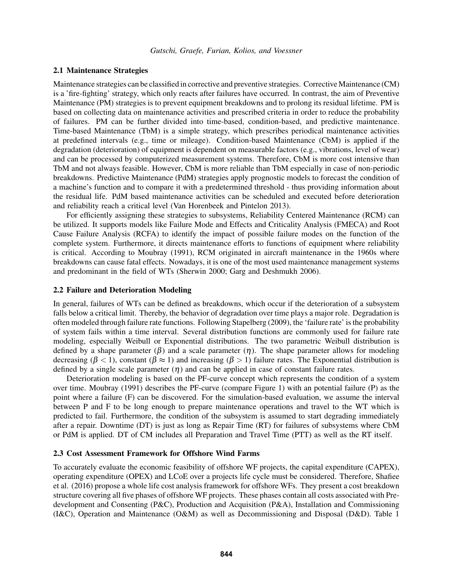### <span id="page-2-0"></span>2.1 Maintenance Strategies

Maintenance strategies can be classified in corrective and preventive strategies. Corrective Maintenance (CM) is a 'fire-fighting' strategy, which only reacts after failures have occurred. In contrast, the aim of Preventive Maintenance (PM) strategies is to prevent equipment breakdowns and to prolong its residual lifetime. PM is based on collecting data on maintenance activities and prescribed criteria in order to reduce the probability of failures. PM can be further divided into time-based, condition-based, and predictive maintenance. Time-based Maintenance (TbM) is a simple strategy, which prescribes periodical maintenance activities at predefined intervals (e.g., time or mileage). Condition-based Maintenance (CbM) is applied if the degradation (deterioration) of equipment is dependent on measurable factors (e.g., vibrations, level of wear) and can be processed by computerized measurement systems. Therefore, CbM is more cost intensive than TbM and not always feasible. However, CbM is more reliable than TbM especially in case of non-periodic breakdowns. Predictive Maintenance (PdM) strategies apply prognostic models to forecast the condition of a machine's function and to compare it with a predetermined threshold - thus providing information about the residual life. PdM based maintenance activities can be scheduled and executed before deterioration and reliability reach a critical level [\(Van Horenbeek and Pintelon 2013\)](#page-11-6).

For efficiently assigning these strategies to subsystems, Reliability Centered Maintenance (RCM) can be utilized. It supports models like Failure Mode and Effects and Criticality Analysis (FMECA) and Root Cause Failure Analysis (RCFA) to identify the impact of possible failure modes on the function of the complete system. Furthermore, it directs maintenance efforts to functions of equipment where reliability is critical. According to [Moubray \(1991\),](#page-11-7) RCM originated in aircraft maintenance in the 1960s where breakdowns can cause fatal effects. Nowadays, it is one of the most used maintenance management systems and predominant in the field of WTs [\(Sherwin 2000;](#page-11-5) [Garg and Deshmukh 2006\)](#page-10-3).

### <span id="page-2-1"></span>2.2 Failure and Deterioration Modeling

In general, failures of WTs can be defined as breakdowns, which occur if the deterioration of a subsystem falls below a critical limit. Thereby, the behavior of degradation over time plays a major role. Degradation is often modeled through failure rate functions. Following [Stapelberg \(2009\),](#page-11-8) the 'failure rate' is the probability of system fails within a time interval. Several distribution functions are commonly used for failure rate modeling, especially Weibull or Exponential distributions. The two parametric Weibull distribution is defined by a shape parameter ( $\beta$ ) and a scale parameter ( $\eta$ ). The shape parameter allows for modeling decreasing ( $\beta$  < 1), constant ( $\beta \approx 1$ ) and increasing ( $\beta > 1$ ) failure rates. The Exponential distribution is defined by a single scale parameter  $(\eta)$  and can be applied in case of constant failure rates.

Deterioration modeling is based on the PF-curve concept which represents the condition of a system over time. [Moubray \(1991\)](#page-11-7) describes the PF-curve (compare Figure [1\)](#page-3-0) with an potential failure (P) as the point where a failure (F) can be discovered. For the simulation-based evaluation, we assume the interval between P and F to be long enough to prepare maintenance operations and travel to the WT which is predicted to fail. Furthermore, the condition of the subsystem is assumed to start degrading immediately after a repair. Downtime (DT) is just as long as Repair Time (RT) for failures of subsystems where CbM or PdM is applied. DT of CM includes all Preparation and Travel Time (PTT) as well as the RT itself.

### <span id="page-2-2"></span>2.3 Cost Assessment Framework for Offshore Wind Farms

To accurately evaluate the economic feasibility of offshore WF projects, the capital expenditure (CAPEX), operating expenditure (OPEX) and LCoE over a projects life cycle must be considered. Therefore, [Shafiee](#page-11-9) [et al. \(2016\)](#page-11-9) propose a whole life cost analysis framework for offshore WFs. They present a cost breakdown structure covering all five phases of offshore WF projects. These phases contain all costs associated with Predevelopment and Consenting (P&C), Production and Acquisition (P&A), Installation and Commissioning (I&C), Operation and Maintenance (O&M) as well as Decommissioning and Disposal (D&D). Table [1](#page-3-1)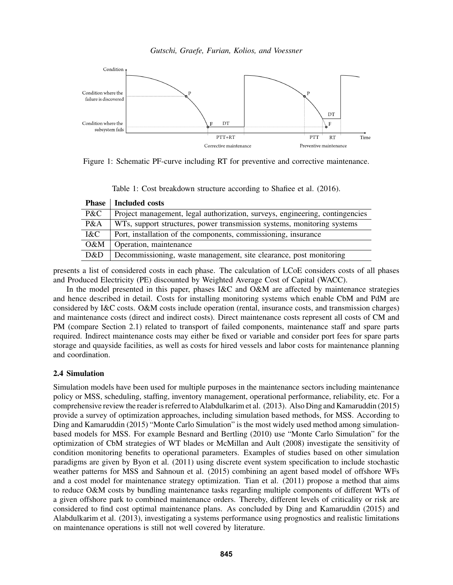<span id="page-3-0"></span>

<span id="page-3-1"></span>Figure 1: Schematic PF-curve including RT for preventive and corrective maintenance.

Table 1: Cost breakdown structure according to Shafiee et al. (2016).

| <b>Phase</b> | <b>Included costs</b>                                                        |
|--------------|------------------------------------------------------------------------------|
| P&C          | Project management, legal authorization, surveys, engineering, contingencies |
| P&A          | WTs, support structures, power transmission systems, monitoring systems      |
| I&C          | Port, installation of the components, commissioning, insurance               |
| $O\&M$       | Operation, maintenance                                                       |
| D&D          | Decommissioning, waste management, site clearance, post monitoring           |
|              |                                                                              |

presents a list of considered costs in each phase. The calculation of LCoE considers costs of all phases and Produced Electricity (PE) discounted by Weighted Average Cost of Capital (WACC).

In the model presented in this paper, phases I&C and O&M are affected by maintenance strategies and hence described in detail. Costs for installing monitoring systems which enable CbM and PdM are considered by I&C costs. O&M costs include operation (rental, insurance costs, and transmission charges) and maintenance costs (direct and indirect costs). Direct maintenance costs represent all costs of CM and PM (compare Section [2.1\)](#page-2-0) related to transport of failed components, maintenance staff and spare parts required. Indirect maintenance costs may either be fixed or variable and consider port fees for spare parts storage and quayside facilities, as well as costs for hired vessels and labor costs for maintenance planning and coordination.

# 2.4 Simulation

Simulation models have been used for multiple purposes in the maintenance sectors including maintenance policy or MSS, scheduling, staffing, inventory management, operational performance, reliability, etc. For a comprehensive review the reader is referred to [Alabdulkarim et al. \(2013\).](#page-10-4) Also [Ding and Kamaruddin \(2015\)](#page-10-5) provide a survey of optimization approaches, including simulation based methods, for MSS. According to [Ding and Kamaruddin \(2015\)](#page-10-5) "Monte Carlo Simulation" is the most widely used method among simulationbased models for MSS. For example [Besnard and Bertling \(2010\)](#page-10-6) use "Monte Carlo Simulation" for the optimization of CbM strategies of WT blades or [McMillan and Ault \(2008\)](#page-11-10) investigate the sensitivity of condition monitoring benefits to operational parameters. Examples of studies based on other simulation paradigms are given by [Byon et al. \(2011\)](#page-10-7) using discrete event system specification to include stochastic weather patterns for MSS and [Sahnoun et al. \(2015\)](#page-11-11) combining an agent based model of offshore WFs and a cost model for maintenance strategy optimization. [Tian et al. \(2011\)](#page-11-12) propose a method that aims to reduce O&M costs by bundling maintenance tasks regarding multiple components of different WTs of a given offshore park to combined maintenance orders. Thereby, different levels of criticality or risk are considered to find cost optimal maintenance plans. As concluded by [Ding and Kamaruddin \(2015\)](#page-10-5) and [Alabdulkarim et al. \(2013\),](#page-10-4) investigating a systems performance using prognostics and realistic limitations on maintenance operations is still not well covered by literature.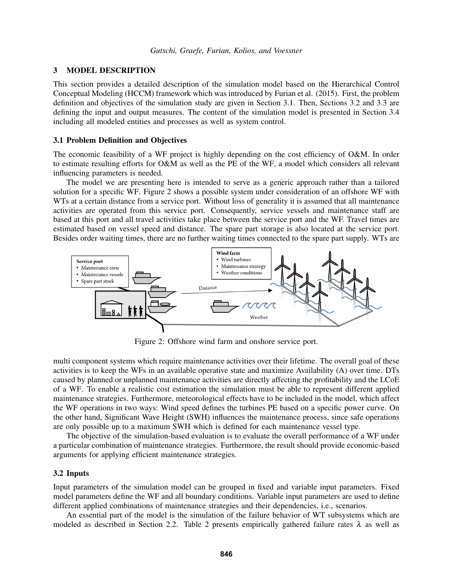### <span id="page-4-0"></span>3 MODEL DESCRIPTION

This section provides a detailed description of the simulation model based on the Hierarchical Control Conceptual Modeling (HCCM) framework which was introduced by [Furian et al. \(2015\).](#page-10-8) First, the problem definition and objectives of the simulation study are given in Section [3.1.](#page-4-1) Then, Sections [3.2](#page-4-2) and [3.3](#page-6-0) are defining the input and output measures. The content of the simulation model is presented in Section [3.4](#page-6-1) including all modeled entities and processes as well as system control.

### <span id="page-4-1"></span>3.1 Problem Definition and Objectives

The economic feasibility of a WF project is highly depending on the cost efficiency of O&M. In order to estimate resulting efforts for O&M as well as the PE of the WF, a model which considers all relevant influencing parameters is needed.

The model we are presenting here is intended to serve as a generic approach rather than a tailored solution for a specific WF. Figure [2](#page-4-3) shows a possible system under consideration of an offshore WF with WTs at a certain distance from a service port. Without loss of generality it is assumed that all maintenance activities are operated from this service port. Consequently, service vessels and maintenance staff are based at this port and all travel activities take place between the service port and the WF. Travel times are estimated based on vessel speed and distance. The spare part storage is also located at the service port. Besides order waiting times, there are no further waiting times connected to the spare part supply. WTs are

<span id="page-4-3"></span>

Figure 2: Offshore wind farm and onshore service port.

multi component systems which require maintenance activities over their lifetime. The overall goal of these activities is to keep the WFs in an available operative state and maximize Availability (A) over time. DTs caused by planned or unplanned maintenance activities are directly affecting the profitability and the LCoE of a WF. To enable a realistic cost estimation the simulation must be able to represent different applied maintenance strategies. Furthermore, meteorological effects have to be included in the model, which affect the WF operations in two ways: Wind speed defines the turbines PE based on a specific power curve. On the other hand, Significant Wave Height (SWH) influences the maintenance process, since safe operations are only possible up to a maximum SWH which is defined for each maintenance vessel type.

The objective of the simulation-based evaluation is to evaluate the overall performance of a WF under a particular combination of maintenance strategies. Furthermore, the result should provide economic-based arguments for applying efficient maintenance strategies.

### <span id="page-4-2"></span>3.2 Inputs

Input parameters of the simulation model can be grouped in fixed and variable input parameters. Fixed model parameters define the WF and all boundary conditions. Variable input parameters are used to define different applied combinations of maintenance strategies and their dependencies, i.e., scenarios.

An essential part of the model is the simulation of the failure behavior of WT subsystems which are modeled as described in Section [2.2.](#page-2-1) Table [2](#page-5-0) presents empirically gathered failure rates  $\lambda$  as well as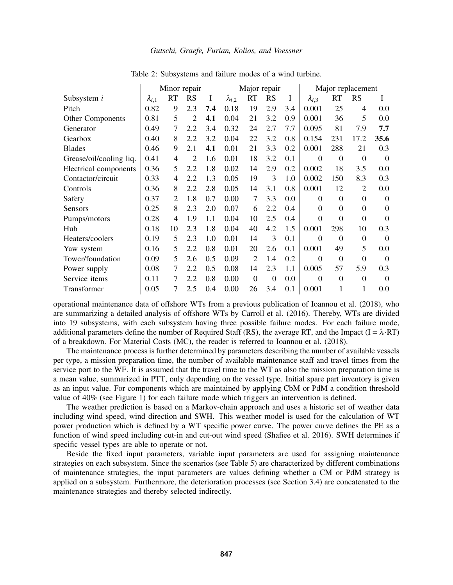<span id="page-5-0"></span>

|                         | Minor repair    |                |           | Major repair |                 |                | Major replacement |     |                 |                |                  |          |
|-------------------------|-----------------|----------------|-----------|--------------|-----------------|----------------|-------------------|-----|-----------------|----------------|------------------|----------|
| Subsystem i             | $\lambda_{i,1}$ | <b>RT</b>      | <b>RS</b> | $\bf{I}$     | $\lambda_{i,2}$ | <b>RT</b>      | <b>RS</b>         | I   | $\lambda_{i,3}$ | <b>RT</b>      | <b>RS</b>        | I        |
| Pitch                   | 0.82            | 9              | 2.3       | 7.4          | 0.18            | 19             | 2.9               | 3.4 | 0.001           | 25             | 4                | 0.0      |
| Other Components        | 0.81            | 5              | 2         | 4.1          | 0.04            | 21             | 3.2               | 0.9 | 0.001           | 36             | 5                | 0.0      |
| Generator               | 0.49            | 7              | 2.2       | 3.4          | 0.32            | 24             | 2.7               | 7.7 | 0.095           | 81             | 7.9              | 7.7      |
| Gearbox                 | 0.40            | 8              | 2.2       | 3.2          | 0.04            | 22             | 3.2               | 0.8 | 0.154           | 231            | 17.2             | 35.6     |
| <b>Blades</b>           | 0.46            | 9              | 2.1       | 4.1          | 0.01            | 21             | 3.3               | 0.2 | 0.001           | 288            | 21               | 0.3      |
| Grease/oil/cooling liq. | 0.41            | 4              | 2         | 1.6          | 0.01            | 18             | 3.2               | 0.1 | $\theta$        | $\Omega$       | $\theta$         | $\Omega$ |
| Electrical components   | 0.36            | 5              | 2.2       | 1.8          | 0.02            | 14             | 2.9               | 0.2 | 0.002           | 18             | 3.5              | 0.0      |
| Contactor/circuit       | 0.33            | 4              | 2.2       | 1.3          | 0.05            | 19             | 3                 | 1.0 | 0.002           | 150            | 8.3              | 0.3      |
| Controls                | 0.36            | 8              | 2.2       | 2.8          | 0.05            | 14             | 3.1               | 0.8 | 0.001           | 12             | $\overline{2}$   | 0.0      |
| Safety                  | 0.37            | $\overline{2}$ | 1.8       | 0.7          | 0.00            | 7              | 3.3               | 0.0 | $\Omega$        | $\Omega$       | $\theta$         | $\Omega$ |
| Sensors                 | 0.25            | 8              | 2.3       | 2.0          | 0.07            | 6              | 2.2               | 0.4 | $\Omega$        | $\theta$       | $\overline{0}$   | $\Omega$ |
| Pumps/motors            | 0.28            | 4              | 1.9       | 1.1          | 0.04            | 10             | 2.5               | 0.4 | $\theta$        | $\overline{0}$ | $\mathbf{0}$     | $\theta$ |
| Hub                     | 0.18            | 10             | 2.3       | 1.8          | 0.04            | 40             | 4.2               | 1.5 | 0.001           | 298            | 10               | 0.3      |
| Heaters/coolers         | 0.19            | 5              | 2.3       | 1.0          | 0.01            | 14             | 3                 | 0.1 | $\theta$        | $\theta$       | $\boldsymbol{0}$ | $\Omega$ |
| Yaw system              | 0.16            | 5              | 2.2       | 0.8          | 0.01            | 20             | 2.6               | 0.1 | 0.001           | 49             | 5                | 0.0      |
| Tower/foundation        | 0.09            | 5              | 2.6       | 0.5          | 0.09            | $\overline{2}$ | 1.4               | 0.2 | $\theta$        | $\theta$       | $\overline{0}$   | $\theta$ |
| Power supply            | 0.08            | 7              | 2.2       | 0.5          | 0.08            | 14             | 2.3               | 1.1 | 0.005           | 57             | 5.9              | 0.3      |
| Service items           | 0.11            | 7              | 2.2       | 0.8          | 0.00            | $\Omega$       | $\Omega$          | 0.0 | $\theta$        | $\Omega$       | $\theta$         | $\Omega$ |
| Transformer             | 0.05            | 7              | 2.5       | 0.4          | 0.00            | 26             | 3.4               | 0.1 | 0.001           |                | 1                | 0.0      |

Table 2: Subsystems and failure modes of a wind turbine.

operational maintenance data of offshore WTs from a previous publication of [Ioannou et al. \(2018\),](#page-11-13) who are summarizing a detailed analysis of offshore WTs by [Carroll et al. \(2016\).](#page-10-2) Thereby, WTs are divided into 19 subsystems, with each subsystem having three possible failure modes. For each failure mode, additional parameters define the number of Required Staff (RS), the average RT, and the Impact (I =  $\lambda$ ·RT) of a breakdown. For Material Costs (MC), the reader is referred to [Ioannou et al. \(2018\).](#page-11-13)

The maintenance process is further determined by parameters describing the number of available vessels per type, a mission preparation time, the number of available maintenance staff and travel times from the service port to the WF. It is assumed that the travel time to the WT as also the mission preparation time is a mean value, summarized in PTT, only depending on the vessel type. Initial spare part inventory is given as an input value. For components which are maintained by applying CbM or PdM a condition threshold value of 40% (see Figure [1\)](#page-3-0) for each failure mode which triggers an intervention is defined.

The weather prediction is based on a Markov-chain approach and uses a historic set of weather data including wind speed, wind direction and SWH. This weather model is used for the calculation of WT power production which is defined by a WT specific power curve. The power curve defines the PE as a function of wind speed including cut-in and cut-out wind speed [\(Shafiee et al. 2016\)](#page-11-9). SWH determines if specific vessel types are able to operate or not.

Beside the fixed input parameters, variable input parameters are used for assigning maintenance strategies on each subsystem. Since the scenarios (see Table [5\)](#page-8-1) are characterized by different combinations of maintenance strategies, the input parameters are values defining whether a CM or PdM strategy is applied on a subsystem. Furthermore, the deterioration processes (see Section [3.4\)](#page-6-1) are concatenated to the maintenance strategies and thereby selected indirectly.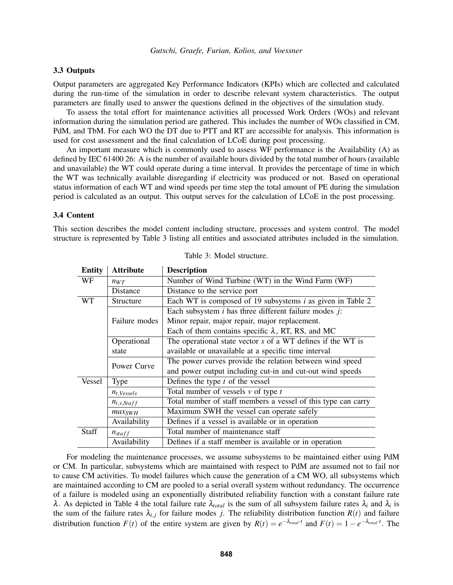## <span id="page-6-0"></span>3.3 Outputs

Output parameters are aggregated Key Performance Indicators (KPIs) which are collected and calculated during the run-time of the simulation in order to describe relevant system characteristics. The output parameters are finally used to answer the questions defined in the objectives of the simulation study.

To assess the total effort for maintenance activities all processed Work Orders (WOs) and relevant information during the simulation period are gathered. This includes the number of WOs classified in CM, PdM, and TbM. For each WO the DT due to PTT and RT are accessible for analysis. This information is used for cost assessment and the final calculation of LCoE during post processing.

An important measure which is commonly used to assess WF performance is the Availability (A) as defined by IEC 61400 26: A is the number of available hours divided by the total number of hours (available and unavailable) the WT could operate during a time interval. It provides the percentage of time in which the WT was technically available disregarding if electricity was produced or not. Based on operational status information of each WT and wind speeds per time step the total amount of PE during the simulation period is calculated as an output. This output serves for the calculation of LCoE in the post processing.

### <span id="page-6-1"></span>3.4 Content

<span id="page-6-2"></span>This section describes the model content including structure, processes and system control. The model structure is represented by Table [3](#page-6-2) listing all entities and associated attributes included in the simulation.

| <b>Entity</b> | <b>Attribute</b>   | <b>Description</b>                                            |
|---------------|--------------------|---------------------------------------------------------------|
| WF            | $n_{WT}$           | Number of Wind Turbine (WT) in the Wind Farm (WF)             |
|               | <b>Distance</b>    | Distance to the service port                                  |
| WT            | Structure          | Each WT is composed of 19 subsystems $i$ as given in Table 2  |
|               |                    | Each subsystem $i$ has three different failure modes $j$ :    |
|               | Failure modes      | Minor repair, major repair, major replacement.                |
|               |                    | Each of them contains specific $\lambda$ , RT, RS, and MC     |
|               | Operational        | The operational state vector s of a WT defines if the WT is   |
|               | state              | available or unavailable at a specific time interval          |
|               | Power Curve        | The power curves provide the relation between wind speed      |
|               |                    | and power output including cut-in and cut-out wind speeds     |
| Vessel        | <b>Type</b>        | Defines the type $t$ of the vessel                            |
|               | $n_{t, Vessels}$   | Total number of vessels $v$ of type $t$                       |
|               | $n_{t,v,Staff}$    | Total number of staff members a vessel of this type can carry |
|               | $max_{SWH}$        | Maximum SWH the vessel can operate safely                     |
|               | Availability       | Defines if a vessel is available or in operation              |
| <b>Staff</b>  | $n_{\text{staff}}$ | Total number of maintenance staff                             |
|               | Availability       | Defines if a staff member is available or in operation        |

Table 3: Model structure.

For modeling the maintenance processes, we assume subsystems to be maintained either using PdM or CM. In particular, subsystems which are maintained with respect to PdM are assumed not to fail nor to cause CM activities. To model failures which cause the generation of a CM WO, all subsystems which are maintained according to CM are pooled to a serial overall system without redundancy. The occurrence of a failure is modeled using an exponentially distributed reliability function with a constant failure rate  $\lambda$ . As depicted in Table [4](#page-7-1) the total failure rate  $\lambda_{total}$  is the sum of all subsystem failure rates  $\lambda_i$  and  $\lambda_i$  is the sum of the failure rates  $\lambda_{i,j}$  for failure modes *j*. The reliability distribution function  $R(t)$  and failure distribution function  $F(t)$  of the entire system are given by  $R(t) = e^{-\lambda_{total} \cdot t}$  and  $F(t) = 1 - e^{-\lambda_{total} \cdot t}$ . The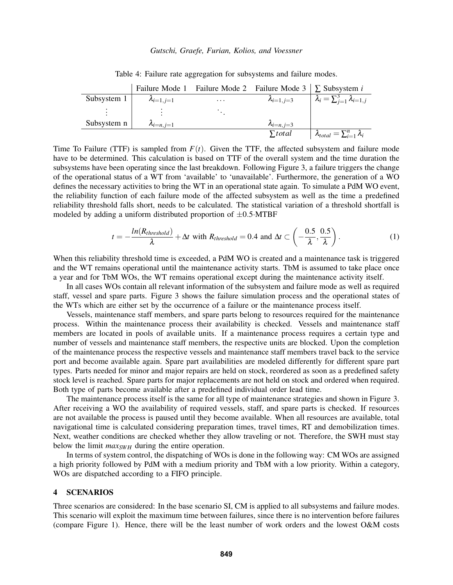<span id="page-7-1"></span>

|             | Failure Mode 1       | Failure Mode 2 | Failure Mode 3   $\Sigma$ Subsystem <i>i</i> |                                              |
|-------------|----------------------|----------------|----------------------------------------------|----------------------------------------------|
| Subsystem 1 | $\lambda_{i=1, i=1}$ | $\cdots$       | $\lambda_{i=1, j=3}$                         | $\lambda_i = \sum_{i=1}^3 \lambda_{i=1,j}$   |
|             |                      |                |                                              |                                              |
| Subsystem n | $\lambda_{i=n, i=1}$ |                | $\lambda_{i=n, j=3}$                         |                                              |
|             |                      |                | $\Sigma$ total                               | $\lambda_{total} = \sum_{i=1}^{n} \lambda_i$ |

Table 4: Failure rate aggregation for subsystems and failure modes.

Time To Failure (TTF) is sampled from  $F(t)$ . Given the TTF, the affected subsystem and failure mode have to be determined. This calculation is based on TTF of the overall system and the time duration the subsystems have been operating since the last breakdown. Following Figure [3,](#page-8-2) a failure triggers the change of the operational status of a WT from 'available' to 'unavailable'. Furthermore, the generation of a WO defines the necessary activities to bring the WT in an operational state again. To simulate a PdM WO event, the reliability function of each failure mode of the affected subsystem as well as the time a predefined reliability threshold falls short, needs to be calculated. The statistical variation of a threshold shortfall is modeled by adding a uniform distributed proportion of  $\pm 0.5$ ·MTBF

$$
t = -\frac{ln(R_{threshold})}{\lambda} + \Delta t \text{ with } R_{threshold} = 0.4 \text{ and } \Delta t \subset \left(-\frac{0.5}{\lambda}, \frac{0.5}{\lambda}\right). \tag{1}
$$

When this reliability threshold time is exceeded, a PdM WO is created and a maintenance task is triggered and the WT remains operational until the maintenance activity starts. TbM is assumed to take place once a year and for TbM WOs, the WT remains operational except during the maintenance activity itself.

In all cases WOs contain all relevant information of the subsystem and failure mode as well as required staff, vessel and spare parts. Figure [3](#page-8-2) shows the failure simulation process and the operational states of the WTs which are either set by the occurrence of a failure or the maintenance process itself.

Vessels, maintenance staff members, and spare parts belong to resources required for the maintenance process. Within the maintenance process their availability is checked. Vessels and maintenance staff members are located in pools of available units. If a maintenance process requires a certain type and number of vessels and maintenance staff members, the respective units are blocked. Upon the completion of the maintenance process the respective vessels and maintenance staff members travel back to the service port and become available again. Spare part availabilities are modeled differently for different spare part types. Parts needed for minor and major repairs are held on stock, reordered as soon as a predefined safety stock level is reached. Spare parts for major replacements are not held on stock and ordered when required. Both type of parts become available after a predefined individual order lead time.

The maintenance process itself is the same for all type of maintenance strategies and shown in Figure [3.](#page-8-2) After receiving a WO the availability of required vessels, staff, and spare parts is checked. If resources are not available the process is paused until they become available. When all resources are available, total navigational time is calculated considering preparation times, travel times, RT and demobilization times. Next, weather conditions are checked whether they allow traveling or not. Therefore, the SWH must stay below the limit *max<sub>SWH</sub>* during the entire operation.

In terms of system control, the dispatching of WOs is done in the following way: CM WOs are assigned a high priority followed by PdM with a medium priority and TbM with a low priority. Within a category, WOs are dispatched according to a FIFO principle.

### <span id="page-7-0"></span>4 SCENARIOS

Three scenarios are considered: In the base scenario SI, CM is applied to all subsystems and failure modes. This scenario will exploit the maximum time between failures, since there is no intervention before failures (compare Figure [1\)](#page-3-0). Hence, there will be the least number of work orders and the lowest O&M costs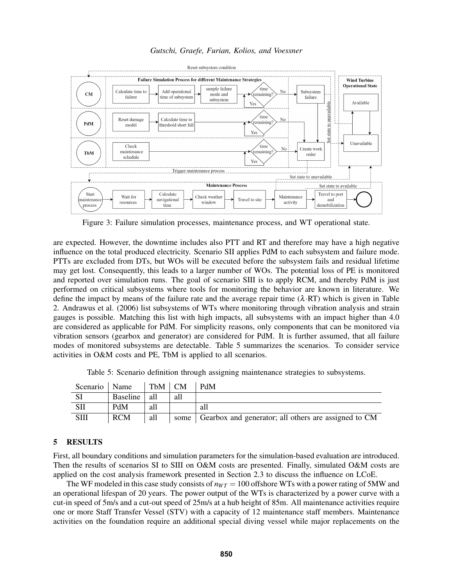*Gutschi, Graefe, Furian, Kolios, and Voessner*

<span id="page-8-2"></span>

Figure 3: Failure simulation processes, maintenance process, and WT operational state.

are expected. However, the downtime includes also PTT and RT and therefore may have a high negative influence on the total produced electricity. Scenario SII applies PdM to each subsystem and failure mode. PTTs are excluded from DTs, but WOs will be executed before the subsystem fails and residual lifetime may get lost. Consequently, this leads to a larger number of WOs. The potential loss of PE is monitored and reported over simulation runs. The goal of scenario SIII is to apply RCM, and thereby PdM is just performed on critical subsystems where tools for monitoring the behavior are known in literature. We define the impact by means of the failure rate and the average repair time  $(\lambda \cdot RT)$  which is given in Table [2.](#page-5-0) [Andrawus et al. \(2006\)](#page-10-9) list subsystems of WTs where monitoring through vibration analysis and strain gauges is possible. Matching this list with high impacts, all subsystems with an impact higher than 4.0 are considered as applicable for PdM. For simplicity reasons, only components that can be monitored via vibration sensors (gearbox and generator) are considered for PdM. It is further assumed, that all failure modes of monitored subsystems are detectable. Table [5](#page-8-1) summarizes the scenarios. To consider service activities in O&M costs and PE, TbM is applied to all scenarios.

Table 5: Scenario definition through assigning maintenance strategies to subsystems.

<span id="page-8-1"></span>

| Scenario | Name       | $TbM \perp CM$ |      | PdM                                                  |
|----------|------------|----------------|------|------------------------------------------------------|
|          | Baseline   | -all           | all  |                                                      |
| SП       | PdM        | all            |      | all                                                  |
| SШ       | <b>RCM</b> | all            | some | Gearbox and generator; all others are assigned to CM |

### <span id="page-8-0"></span>5 RESULTS

First, all boundary conditions and simulation parameters for the simulation-based evaluation are introduced. Then the results of scenarios SI to SIII on O&M costs are presented. Finally, simulated O&M costs are applied on the cost analysis framework presented in Section [2.3](#page-2-2) to discuss the influence on LCoE.

The WF modeled in this case study consists of  $n_{WT} = 100$  offshore WTs with a power rating of 5MW and an operational lifespan of 20 years. The power output of the WTs is characterized by a power curve with a cut-in speed of 5m/s and a cut-out speed of 25m/s at a hub height of 85m. All maintenance activities require one or more Staff Transfer Vessel (STV) with a capacity of 12 maintenance staff members. Maintenance activities on the foundation require an additional special diving vessel while major replacements on the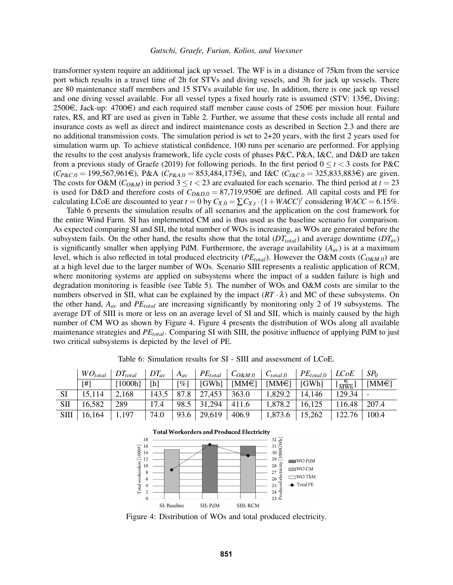transformer system require an additional jack up vessel. The WF is in a distance of 75km from the service port which results in a travel time of 2h for STVs and diving vessels, and 3h for jack up vessels. There are 80 maintenance staff members and 15 STVs available for use. In addition, there is one jack up vessel and one diving vessel available. For all vessel types a fixed hourly rate is assumed (STV: 135 $\epsilon$ , Diving: 2500€, Jack-up: 4700€) and each required staff member cause costs of 250€ per mission hour. Failure rates, RS, and RT are used as given in Table [2.](#page-5-0) Further, we assume that these costs include all rental and insurance costs as well as direct and indirect maintenance costs as described in Section [2.3](#page-2-2) and there are no additional transmission costs. The simulation period is set to 2+20 years, with the first 2 years used for simulation warm up. To achieve statistical confidence, 100 runs per scenario are performed. For applying the results to the cost analysis framework, life cycle costs of phases P&C, P&A, I&C, and D&D are taken from a previous study of [Graefe \(2019\)](#page-10-10) for following periods. In the first period  $0 \le t < 3$  costs for P&C  $(C_{P\&C,0} = 199,567,961\epsilon)$ , P&A  $(C_{P\&A,0} = 853,484,173\epsilon)$ , and I&C  $(C_{I\&C,0} = 325,833,883\epsilon)$  are given. The costs for O&M ( $C_{O\&M}$ ) in period  $3 \le t < 23$  are evaluated for each scenario. The third period at  $t = 23$ is used for D&D and therefore costs of  $C_{D&D,0} = 87,719,950 \in \mathbb{R}$  are defined. All capital costs and PE for calculating LCoE are discounted to year  $t = 0$  by  $C_{X,0} = \sum C_{X,t} \cdot (1 + WACC)^t$  considering  $WACC = 6.15\%$ .

Table [6](#page-9-0) presents the simulation results of all scenarios and the application on the cost framework for the entire Wind Farm. SI has implemented CM and is thus used as the baseline scenario for comparison. As expected comparing SI and SII, the total number of WOs is increasing, as WOs are generated before the subsystem fails. On the other hand, the results show that the total  $(DT_{total})$  and average downtime  $(DT_{av})$ is significantly smaller when applying PdM. Furthermore, the average availability  $(A_{av})$  is at a maximum level, which is also reflected in total produced electricity (*PEtotal*). However the O&M costs (*CO*&*M*,0) are at a high level due to the larger number of WOs. Scenario SIII represents a realistic application of RCM, where monitoring systems are applied on subsystems where the impact of a sudden failure is high and degradation monitoring is feasible (see Table [5\)](#page-8-1). The number of WOs and O&M costs are similar to the numbers observed in SII, what can be explained by the impact  $(RT \cdot \lambda)$  and MC of these subsystems. On the other hand, *Aav* and *PEtotal* are increasing significantly by monitoring only 2 of 19 subsystems. The average DT of SIII is more or less on an average level of SI and SII, which is mainly caused by the high number of CM WO as shown by Figure [4.](#page-9-1) Figure [4](#page-9-1) presents the distribution of WOs along all available maintenance strategies and *PEtotal*. Comparing SI with SIII, the positive influence of applying PdM to just two critical subsystems is depicted by the level of PE.

<span id="page-9-1"></span><span id="page-9-0"></span>

|            | $WO_{total}$ | $DT_{total}$ | $DT_{av}$ | $A_{av}$           |                                           | $PE_{total}$ $C_{O\&M,0}$ $C_{total,0}$                         |                  | $\mid$ PE <sub>total,0</sub> $\mid$ LCoE |                                            | SP <sub>0</sub> |
|------------|--------------|--------------|-----------|--------------------|-------------------------------------------|-----------------------------------------------------------------|------------------|------------------------------------------|--------------------------------------------|-----------------|
|            | [#]          | [1000h]      | [h]       | $\lceil \% \rceil$ |                                           | $\mid$ [GWh] $\mid$ [MM $\in$ ] $\mid$ [MM $\in$ ] $\mid$ [GWh] |                  |                                          | $\left[\frac{\epsilon}{\text{MWh}}\right]$ | $[MM\in]$       |
| SI         | 15,114       | 2,168        | 143.5     |                    | $\vert$ 87.8 $\vert$ 27,453 $\vert$ 363.0 |                                                                 | 1,829.2          | 14,146                                   | 129.34                                     |                 |
| <b>SII</b> | 16,582       | 289          | 17.4      |                    | $98.5$   31,294   411.6                   |                                                                 | 1,878.2          | 16,125                                   | 116.48                                     | 207.4           |
| SIII       | 16,164       | 1,197        | 74.0      |                    | $93.6 \mid 29,619$                        | 406.9                                                           | 1,873.6   15,262 |                                          | 122.76                                     | 100.4           |

Table 6: Simulation results for SI - SIII and assessment of LCoE.



Figure 4: Distribution of WOs and total produced electricity.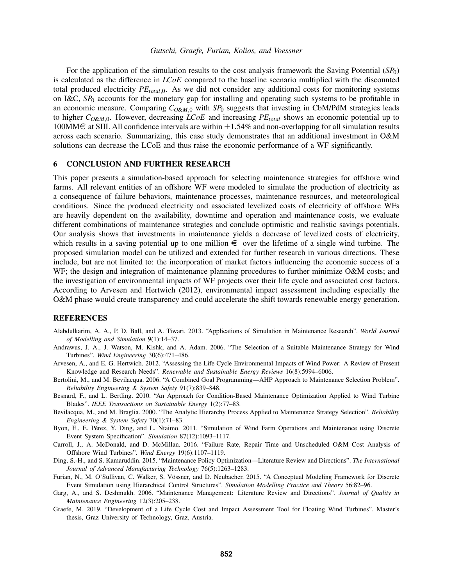For the application of the simulation results to the cost analysis framework the Saving Potential  $(SP_0)$ is calculated as the difference in *LCoE* compared to the baseline scenario multiplied with the discounted total produced electricity *PEtotal*,0. As we did not consider any additional costs for monitoring systems on I&C, *SP*<sup>0</sup> accounts for the monetary gap for installing and operating such systems to be profitable in an economic measure. Comparing *CO*&*M*,<sup>0</sup> with *SP*<sup>0</sup> suggests that investing in CbM/PdM strategies leads to higher *CO*&*M*,0. However, decreasing *LCoE* and increasing *PEtotal* shows an economic potential up to 100MM€ at SIII. All confidence intervals are within  $\pm 1.54\%$  and non-overlapping for all simulation results across each scenario. Summarizing, this case study demonstrates that an additional investment in O&M solutions can decrease the LCoE and thus raise the economic performance of a WF significantly.

### 6 CONCLUSION AND FURTHER RESEARCH

This paper presents a simulation-based approach for selecting maintenance strategies for offshore wind farms. All relevant entities of an offshore WF were modeled to simulate the production of electricity as a consequence of failure behaviors, maintenance processes, maintenance resources, and meteorological conditions. Since the produced electricity and associated levelized costs of electricity of offshore WFs are heavily dependent on the availability, downtime and operation and maintenance costs, we evaluate different combinations of maintenance strategies and conclude optimistic and realistic savings potentials. Our analysis shows that investments in maintenance yields a decrease of levelized costs of electricity, which results in a saving potential up to one million  $\epsilon$  over the lifetime of a single wind turbine. The proposed simulation model can be utilized and extended for further research in various directions. These include, but are not limited to: the incorporation of market factors influencing the economic success of a WF; the design and integration of maintenance planning procedures to further minimize O&M costs; and the investigation of environmental impacts of WF projects over their life cycle and associated cost factors. According to [Arvesen and Hertwich \(2012\),](#page-10-11) environmental impact assessment including especially the O&M phase would create transparency and could accelerate the shift towards renewable energy generation.

### **REFERENCES**

- <span id="page-10-4"></span>Alabdulkarim, A. A., P. D. Ball, and A. Tiwari. 2013. "Applications of Simulation in Maintenance Research". *World Journal of Modelling and Simulation* 9(1):14–37.
- <span id="page-10-9"></span>Andrawus, J. A., J. Watson, M. Kishk, and A. Adam. 2006. "The Selection of a Suitable Maintenance Strategy for Wind Turbines". *Wind Engineering* 30(6):471–486.
- <span id="page-10-11"></span>Arvesen, A., and E. G. Hertwich. 2012. "Assessing the Life Cycle Environmental Impacts of Wind Power: A Review of Present Knowledge and Research Needs". *Renewable and Sustainable Energy Reviews* 16(8):5994–6006.
- <span id="page-10-0"></span>Bertolini, M., and M. Bevilacqua. 2006. "A Combined Goal Programming—AHP Approach to Maintenance Selection Problem". *Reliability Engineering & System Safety* 91(7):839–848.
- <span id="page-10-6"></span>Besnard, F., and L. Bertling. 2010. "An Approach for Condition-Based Maintenance Optimization Applied to Wind Turbine Blades". *IEEE Transactions on Sustainable Energy* 1(2):77–83.
- <span id="page-10-1"></span>Bevilacqua, M., and M. Braglia. 2000. "The Analytic Hierarchy Process Applied to Maintenance Strategy Selection". *Reliability Engineering & System Safety* 70(1):71–83.
- <span id="page-10-7"></span>Byon, E., E. Perez, Y. Ding, and L. Ntaimo. 2011. "Simulation of Wind Farm Operations and Maintenance using Discrete ´ Event System Specification". *Simulation* 87(12):1093–1117.
- <span id="page-10-2"></span>Carroll, J., A. McDonald, and D. McMillan. 2016. "Failure Rate, Repair Time and Unscheduled O&M Cost Analysis of Offshore Wind Turbines". *Wind Energy* 19(6):1107–1119.
- <span id="page-10-5"></span>Ding, S.-H., and S. Kamaruddin. 2015. "Maintenance Policy Optimization—Literature Review and Directions". *The International Journal of Advanced Manufacturing Technology* 76(5):1263–1283.
- <span id="page-10-8"></span>Furian, N., M. O'Sullivan, C. Walker, S. Vössner, and D. Neubacher. 2015. "A Conceptual Modeling Framework for Discrete Event Simulation using Hierarchical Control Structures". *Simulation Modelling Practice and Theory* 56:82–96.
- <span id="page-10-3"></span>Garg, A., and S. Deshmukh. 2006. "Maintenance Management: Literature Review and Directions". *Journal of Quality in Maintenance Engineering* 12(3):205–238.
- <span id="page-10-10"></span>Graefe, M. 2019. "Development of a Life Cycle Cost and Impact Assessment Tool for Floating Wind Turbines". Master's thesis, Graz University of Technology, Graz, Austria.